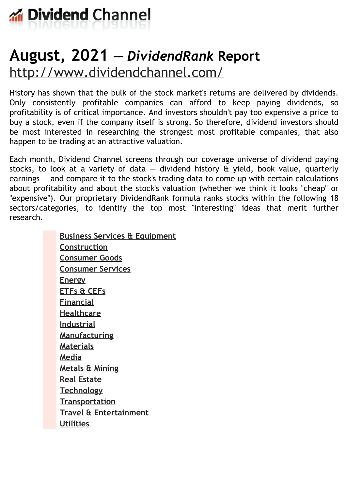

# **August, 2021 —** *DividendRank* **Report** <http://www.dividendchannel.com/>

History has shown that the bulk of the stock market's returns are delivered by dividends. Only consistently profitable companies can afford to keep paying dividends, so profitability is of critical importance. And investors shouldn't pay too expensive a price to buy a stock, even if the company itself is strong. So therefore, dividend investors should be most interested in researching the strongest most profitable companies, that also happen to be trading at an attractive valuation.

Each month, Dividend Channel screens through our coverage universe of dividend paying stocks, to look at a variety of data  $-$  dividend history  $\hat{a}$  yield, book value, quarterly earnings — and compare it to the stock's trading data to come up with certain calculations about profitability and about the stock's valuation (whether we think it looks ''cheap'' or "expensive"). Our proprietary DividendRank formula ranks stocks within the following 18 sectors/categories, to identify the top most ''interesting'' ideas that merit further research.

> **Business Services & [Equipment](file:///root/temp.html#l01) [Construction](file:///root/temp.html#l02) [Consumer](file:///root/temp.html#l03) Goods [Consumer](file:///root/temp.html#l04) Services [Energy](file:///root/temp.html#l05) [ETFs](file:///root/temp.html#l06) & CEFs [Financial](file:///root/temp.html#l07) [Healthcare](file:///root/temp.html#l08) [Industrial](file:///root/temp.html#l09) [Manufacturing](file:///root/temp.html#l10) [Materials](file:///root/temp.html#l11) [Media](file:///root/temp.html#l12) [Metals](file:///root/temp.html#l13) & Mining Real [Estate](file:///root/temp.html#l14) [Technology](file:///root/temp.html#l15) [Transportation](file:///root/temp.html#l16) Travel & [Entertainment](file:///root/temp.html#l17) [Utilities](file:///root/temp.html#l18)**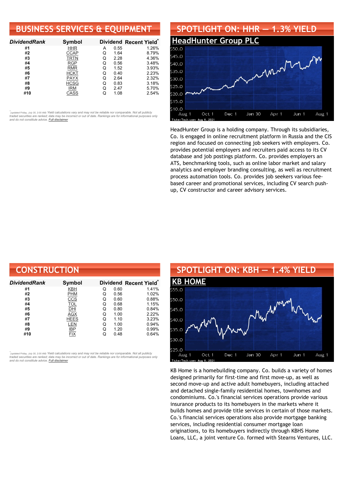#### **BUSINESS SERVICES & EQUIPMENT**

| <b>DividendRank</b> | Symbol      |   |      | Dividend Recent Yield* |
|---------------------|-------------|---|------|------------------------|
| #1                  | <b>HHR</b>  | А | 0.55 | 1.26%                  |
| #2                  | <b>CCAP</b> | O | 1.64 | 8.79%                  |
| #3                  | <b>TRTN</b> | Q | 2.28 | 4.36%                  |
| #4                  | <b>RGP</b>  | Q | 0.56 | 3.48%                  |
| #5                  | <b>RMR</b>  | Q | 1.52 | 3.93%                  |
| #6                  | <b>HCKT</b> | Q | 0.40 | 2.23%                  |
| #7                  | <b>PAYX</b> | Q | 2.64 | 2.32%                  |
| #8                  | <b>HCSG</b> | Q | 0.83 | 3.18%                  |
| #9                  | IRM         | Q | 2.47 | 5.70%                  |
| #10                 | CASS        |   | 1.08 | 2.54%                  |

•<br>"<sub>(updated Friday, July 30, 2:00 AM) Yield calculations vary and may not be reliable nor comparable. Not all publicly<br>traded securities are ranked; data may be incorrect or out of date. Rankings are for informational pu</sub> *and do not constitute advice. Full [disclaimer](https://www.dividendchannel.com/disclaimer/)*

#### **SPOTLIGHT ON: HHR — 1.3% YIELD [HeadHunter](http://www.dividendchannel.com/symbol/hhr/) Group PLC** \$50.0  $545.0$ mont  $540.0$ \$35.0  $30.0$  $25.0$ 520.0  $15.0$  $510.0$ Oct 1 Dec 1 Jan 30 Aug 1 Aug 1 Apr 1 Jun 1

HeadHunter Group is a holding company. Through its subsidiaries, Co. is engaged in online recruitment platform in Russia and the CIS region and focused on connecting job seekers with employers. Co. provides potential employers and recruiters paid access to its CV database and job postings platform. Co. provides employers an ATS, benchmarking tools, such as online labor market and salary analytics and employer branding consulting, as well as recruitment process automation tools. Co. provides job seekers various feebased career and promotional services, including CV search pushup, CV constructor and career advisory services.

| <b>CONSTRUCTION</b> |               |   |      |                                    |
|---------------------|---------------|---|------|------------------------------------|
| DividendRank        | <b>Symbol</b> |   |      | Dividend Recent Yield <sup>®</sup> |
| #1                  | <b>KBH</b>    | Q | 0.60 | 1.41%                              |
| #2                  | <b>PHM</b>    | Q | 0.56 | 1.02%                              |
| #3                  | <u>ccs</u>    | Q | 0.60 | 0.88%                              |
| #4                  | <b>TOL</b>    | Q | 0.68 | 1.15%                              |
| #5                  | DHI           | Q | 0.80 | 0.84%                              |
| #6                  | AGX           | Q | 1.00 | 2.22%                              |
| #7                  | <b>HEES</b>   | Q | 1.10 | 3.23%                              |
| #8                  | LEN           | Q | 1.00 | 0.94%                              |
| #9                  | <b>IBP</b>    | Q | 1.20 | 0.99%                              |
| #10                 | <b>FIX</b>    | Q | 0.48 | 0.64%                              |

*\** ated Friday, July 30, 2:00 AM) Yield calculations vary and may not be reliable nor comparable. Not all publicly traded securities are ranked; data may be incorrect or out of date. Rankings are for informational purposes only *and do not constitute advice. Full [disclaimer](https://www.dividendchannel.com/disclaimer/)*



KB Home is a homebuilding company. Co. builds a variety of homes designed primarily for first-time and first move-up, as well as second move-up and active adult homebuyers, including attached and detached single-family residential homes, townhomes and condominiums. Co.'s financial services operations provide various insurance products to its homebuyers in the markets where it builds homes and provide title services in certain of those markets. Co.'s financial services operations also provide mortgage banking services, including residential consumer mortgage loan originations, to its homebuyers indirectly through KBHS Home Loans, LLC, a joint venture Co. formed with Stearns Ventures, LLC.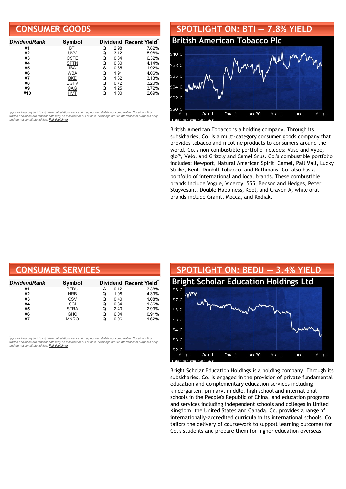#### **CONSUMER GOODS**

| <b>DividendRank</b> | <b>Symbol</b> |   |      | Dividend Recent Yield* |
|---------------------|---------------|---|------|------------------------|
| #1                  | <b>BTI</b>    | Q | 2.98 | 7.82%                  |
| #2                  | UVV           | Q | 3.12 | 5.98%                  |
| #3                  | CSTE          | Q | 0.84 | 6.32%                  |
| #4                  | <b>SPTN</b>   | Q | 0.80 | 4.14%                  |
| #5                  | IBA           | S | 0.85 | 1.92%                  |
| #6                  | <b>WBA</b>    | O | 1.91 | 4.06%                  |
| #7                  | <b>BKE</b>    | Q | 1.32 | 3.13%                  |
| #8                  | <b>BGFV</b>   | Q | 0.72 | 3.20%                  |
| #9                  | CAG           | Q | 1.25 | 3.72%                  |
| #10                 |               |   | 1.00 | 2.69%                  |

•<br>"<sub>(updated Friday, July 30, 2:00 AM) Yield calculations vary and may not be reliable nor comparable. Not all publicly<br>traded securities are ranked; data may be incorrect or out of date. Rankings are for informational pu</sub> *and do not constitute advice. Full [disclaimer](https://www.dividendchannel.com/disclaimer/)*



British American Tobacco is a holding company. Through its subsidiaries, Co. is a multi-category consumer goods company that provides tobacco and nicotine products to consumers around the world. Co.'s non-combustible portfolio includes: Vuse and Vype, glo™, Velo, and Grizzly and Camel Snus. Co.'s combustible portfolio includes: Newport, Natural American Spirit, Camel, Pall Mall, Lucky Strike, Kent, Dunhill Tobacco, and Rothmans. Co. also has a portfolio of international and local brands. These combustible brands include Vogue, Viceroy, 555, Benson and Hedges, Peter Stuyvesant, Double Happiness, Kool, and Craven A, while oral brands include Granit, Mocca, and Kodiak.

| <b>CONSUMER SERVICES</b> |             |   |      |                        |
|--------------------------|-------------|---|------|------------------------|
| DividendRank             | Symbol      |   |      | Dividend Recent Yield* |
| #1                       | <b>BEDU</b> | А | 0.12 | 3.38%                  |
| #2                       | <b>HRB</b>  | Q | 1.08 | 4.39%                  |
| #3                       | <b>CSV</b>  | Q | 0.40 | 1.08%                  |
| #4                       | SCI         | Q | 0.84 | 1.36%                  |
| #5                       | <b>STRA</b> | Q | 2.40 | 2.99%                  |
| #6                       | <b>GHC</b>  | Q | 6.04 | 0.91%                  |

*\** htel Friday July 30, 200 AM) Yield calculations vary and may not be reliable nor comparable. Not all publicly traded securities are ranked; data may be incorrect or out of date. Rankings are for informational purposes only<br>and do not constitute advice. <mark>Full [disclaimer](https://www.dividendchannel.com/disclaimer/)</mark>

#**7** [MNRO](https://www.dividendchannel.com/symbol/mnro) Q 0.96 1.62%



Bright Scholar Education Holdings is a holding company. Through its subsidiaries, Co. is engaged in the provision of private fundamental education and complementary education services including kindergarten, primary, middle, high school and international schools in the People's Republic of China, and education programs and services including independent schools and colleges in United Kingdom, the United States and Canada. Co. provides a range of internationally-accredited curricula in its international schools. Co. tailors the delivery of coursework to support learning outcomes for Co.'s students and prepare them for higher education overseas.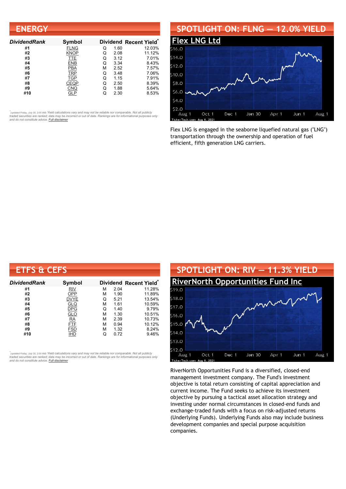| <b>ENERGY</b>       |             |   |      |                                    |
|---------------------|-------------|---|------|------------------------------------|
| <b>DividendRank</b> | Symbol      |   |      | Dividend Recent Yield <sup>®</sup> |
| #1                  | <b>FLNG</b> | Q | 1.60 | 12.03%                             |
| #2                  | KNOP        | Q | 2.08 | 11.12%                             |
| #3                  | TTE         | Q | 3.12 | 7.01%                              |
| #4                  | ENB         | Q | 3.34 | 8.43%                              |
| #5                  | <b>PBA</b>  | М | 2.52 | 7.57%                              |
| #6                  | <b>TRP</b>  | Q | 3.48 | 7.06%                              |
| #7                  | <b>TGP</b>  | Q | 1.15 | 7.91%                              |
| #8                  | CEQP        | Q | 2.50 | 8.39%                              |
| #9                  | <u>CNQ</u>  | Q | 1.88 | 5.64%                              |
| #10                 | GLP         | Q | 2.30 | 8.53%                              |

#### **SPOTLIGHT ON: FLNG — 12.0% YIELD [Flex](http://www.dividendchannel.com/symbol/flng/) LNG L**  $514.0$ \$12.0  $510.0$ \$8.0 \$6.0  $54.0$ \$2.0 Oct 1 Dec 1 Jan 30 Apr 1 Jun 1 Aug 1 Aug 1

Flex LNG is engaged in the seaborne liquefied natural gas ("LNG") transportation through the ownership and operation of fuel efficient, fifth generation LNG carriers.

| <b>ETFS &amp; CEFS</b> |               |   |      |                        |
|------------------------|---------------|---|------|------------------------|
| <b>DividendRank</b>    | <b>Symbol</b> |   |      | Dividend Recent Yield* |
| #1                     | RIV           | м | 2.04 | 11.28%                 |
| #2                     | OPP           | м | 1.90 | 11.89%                 |
| #3                     | <b>DVYE</b>   | Q | 5.21 | 13.54%                 |
| #4                     | <b>GLQ</b>    | М | 1.61 | 10.59%                 |
| #5                     | <b>DPG</b>    | Q | 1.40 | 9.79%                  |
| #6                     | <u>GLO</u>    | М | 1.30 | 10.51%                 |
| #7                     | <b>RA</b>     | м | 2.39 | 10.73%                 |
| #8                     | FTF           | м | 0.94 | 10.12%                 |
| #9                     | <b>FSD</b>    | М | 1.32 | 8.24%                  |
| #10                    | <b>IHD</b>    | Q | 0.72 | 9.46%                  |

้<sub>(updated Friday, July 30, 2:00 AM) Yield calculations vary and may not be reliable nor comparable. Not all publicly<br>traded securities are ranked; data may be incorrect or out of date. Rankings are for informational purp</sub>



RiverNorth Opportunities Fund is a diversified, closed-end management investment company. The Fund's investment objective is total return consisting of capital appreciation and current income. The Fund seeks to achieve its investment objective by pursuing a tactical asset allocation strategy and investing under normal circumstances in closed-end funds and exchange-traded funds with a focus on risk-adjusted returns (Underlying Funds). Underlying Funds also may include business development companies and special purpose acquisition companies.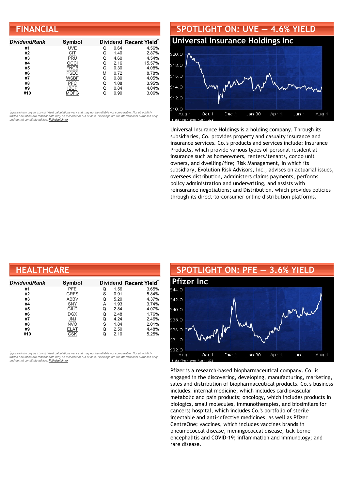| <b>FINANCIAL</b>    |               |   |      |                        |
|---------------------|---------------|---|------|------------------------|
| <b>DividendRank</b> | <b>Symbol</b> |   |      | Dividend Recent Yield* |
| #1                  | <b>UVE</b>    | Q | 0.64 | 4.56%                  |
| #2                  | <b>CIT</b>    | Q | 1.40 | 2.87%                  |
| #3                  | PRU           | Q | 4.60 | 4.54%                  |
| #4                  | OCCI          | Q | 2.16 | 15.57%                 |
| #5                  | <b>FNCB</b>   | Q | 0.30 | 4.08%                  |
| #6                  | PSEC          | м | 0.72 | 8.78%                  |
| #7                  | WSBF          | Q | 0.80 | 4.05%                  |
| #8                  | <b>PFC</b>    | Q | 1.08 | 3.95%                  |
| #9                  | <b>IBCP</b>   | Q | 0.84 | 4.04%                  |
| #10                 | <b>MOFG</b>   | Q | 0.90 | 3.06%                  |



Universal Insurance Holdings is a holding company. Through its subsidiaries, Co. provides property and casualty insurance and insurance services. Co.'s products and services include: Insurance Products, which provide various types of personal residential insurance such as homeowners, renters/tenants, condo unit owners, and dwelling/fire; Risk Management, in which its subsidiary, Evolution Risk Advisors, Inc., advises on actuarial issues, oversees distribution, administers claims payments, performs policy administration and underwriting, and assists with reinsurance negotiations; and Distribution, which provides policies through its direct-to-consumer online distribution platforms.

| <b>HEALTHCARE</b> |             |   |      |                                    |  |
|-------------------|-------------|---|------|------------------------------------|--|
| DividendRank      | Symbol      |   |      | Dividend Recent Yield <sup>®</sup> |  |
| #1                | PFE         | Q | 1.56 | 3.65%                              |  |
| #2                | <b>GRFS</b> | S | 0.91 | 5.84%                              |  |
| #3                | <b>ABBV</b> | Q | 5.20 | 4.37%                              |  |
| #4                | <b>SNY</b>  | А | 1.93 | 3.74%                              |  |
| #5                | <b>GILD</b> | Q | 2.84 | 4.07%                              |  |
| #6                | <b>DGX</b>  | Q | 2.48 | 1.76%                              |  |
| #7                | <b>JNJ</b>  | Q | 4.24 | 2.46%                              |  |
| #8                | <b>NVO</b>  | S | 1.84 | 2.01%                              |  |
| #9                | ELAT        | Q | 2.50 | 4.48%                              |  |
| #10               | GSK         | Q | 2.10 | 5.25%                              |  |

*\** ated Friday, July 30, 2:00 AM) Yield calculations vary and may not be reliable nor comparable. Not all publicly traded securities are ranked; data may be incorrect or out of date. Rankings are for informational purposes only *and do not constitute advice. Full [disclaimer](https://www.dividendchannel.com/disclaimer/)*



Pfizer is a research-based biopharmaceutical company. Co. is engaged in the discovering, developing, manufacturing, marketing, sales and distribution of biopharmaceutical products. Co.'s business includes: internal medicine, which includes cardiovascular metabolic and pain products; oncology, which includes products in biologics, small molecules, immunotherapies, and biosimilars for cancers; hospital, which includes Co.'s portfolio of sterile injectable and anti-infective medicines, as well as Pfizer CentreOne; vaccines, which includes vaccines brands in pneumococcal disease, meningococcal disease, tick-borne encephalitis and COVID-19; inflammation and immunology; and rare disease.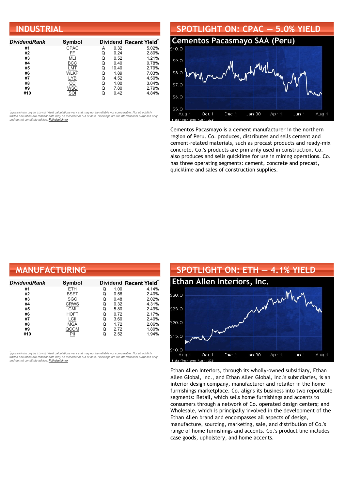| <b>INDUSTRIAL</b>   |                  |   |       |                        |  |  |
|---------------------|------------------|---|-------|------------------------|--|--|
| <b>DividendRank</b> | Symbol           |   |       | Dividend Recent Yield* |  |  |
| #1                  | CPAC             | А | 0.32  | 5.02%                  |  |  |
| #2                  | FF               | Q | 0.24  | 2.80%                  |  |  |
| #3                  | MLI              | Q | 0.52  | 1.21%                  |  |  |
| #4                  | <b>BCC</b>       | Q | 0.40  | 0.78%                  |  |  |
| #5                  | LMT              | Q | 10.40 | 2.79%                  |  |  |
| #6                  | WLKP             | Q | 1.89  | 7.03%                  |  |  |
| #7                  | <u>LYB</u>       | Q | 4.52  | 4.50%                  |  |  |
| #8                  | $\underline{CC}$ | Q | 1.00  | 3.04%                  |  |  |
| #9                  | WSO              | Q | 7.80  | 2.79%                  |  |  |
| #10                 | SOI              | Q | 0.42  | 4.84%                  |  |  |



Cementos Pacasmayo is a cement manufacturer in the northern region of Peru. Co. produces, distributes and sells cement and cement-related materials, such as precast products and ready-mix concrete. Co.'s products are primarily used in construction. Co. also produces and sells quicklime for use in mining operations. Co. has three operating segments: cement, concrete and precast, quicklime and sales of construction supplies.

| <b>MANUFACTURING</b> |             |   |      |                                    |
|----------------------|-------------|---|------|------------------------------------|
| Dividend Rank        | Symbol      |   |      | Dividend Recent Yield <sup>®</sup> |
| #1                   | ETH         | Q | 1.00 | 4.14%                              |
| #2                   | <b>BSET</b> | Q | 0.56 | 2.40%                              |
| #3                   | SGC         | Q | 0.48 | 2.02%                              |
| #4                   | <b>CRWS</b> | Q | 0.32 | 4.31%                              |
| #5                   | <b>CMI</b>  | Q | 5.80 | 2.49%                              |
| #6                   | <b>HOFT</b> | Q | 0.72 | 2.17%                              |
| #7                   | LCII        | Q | 3.60 | 2.40%                              |
| #8                   | <b>MGA</b>  | Q | 1.72 | 2.06%                              |
| #9                   | QCOM        | Q | 2.72 | 1.80%                              |
| #10                  | PII         | Q | 2.52 | 1.94%                              |

•<br>"<sub>(updated Friday, July 30, 2:00 AM) Yield calculations vary and may not be reliable nor comparable. Not all publicly<br>traded securities are ranked; data may be incorrect or out of date. Rankings are for informational pu</sub> *and do not constitute advice. Full [disclaimer](https://www.dividendchannel.com/disclaimer/)*



Ethan Allen Interiors, through its wholly-owned subsidiary, Ethan Allen Global, Inc., and Ethan Allen Global, Inc.'s subsidiaries, is an interior design company, manufacturer and retailer in the home furnishings marketplace. Co. aligns its business into two reportable segments: Retail, which sells home furnishings and accents to consumers through a network of Co. operated design centers; and Wholesale, which is principally involved in the development of the Ethan Allen brand and encompasses all aspects of design, manufacture, sourcing, marketing, sale, and distribution of Co.'s range of home furnishings and accents. Co.'s product line includes case goods, upholstery, and home accents.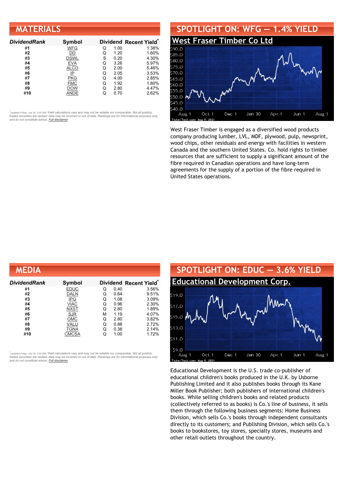#### **MATERIALS**

| <b>DividendRank</b> | Symbol      |   |      | Dividend Recent Yield* |
|---------------------|-------------|---|------|------------------------|
| #1                  | <b>WFG</b>  | Q | 1.00 | 1.38%                  |
| #2                  | DD          | Q | 1.20 | 1.60%                  |
| #3                  | <b>DSWL</b> | S | 0.20 | 4.30%                  |
| #4                  | <b>EVA</b>  | Q | 3.26 | 5.97%                  |
| #5                  | <b>ALCO</b> | Q | 2.00 | 5.46%                  |
| #6                  | IP          | Q | 2.05 | 3.53%                  |
| #7                  | <b>PKG</b>  | Q | 4.00 | 2.85%                  |
| #8                  | <b>FMC</b>  | Q | 1.92 | 1.80%                  |
| #9                  | DOW         | Q | 2.80 | 4.47%                  |
| #10                 | ANDE        |   | 0.70 | 2.62%                  |

•<br>"<sub>(updated Friday, July 30, 2:00 AM) Yield calculations vary and may not be reliable nor comparable. Not all publicly<br>traded securities are ranked; data may be incorrect or out of date. Rankings are for informational pu</sub> *and do not constitute advice. Full [disclaimer](https://www.dividendchannel.com/disclaimer/)*



West Fraser Timber is engaged as a diversified wood products company producing lumber, LVL, MDF, plywood, pulp, newsprint, wood chips, other residuals and energy with facilities in western Canada and the southern United States. Co. hold rights to timber resources that are sufficient to supply a significant amount of the fibre required in Canadian operations and have long-term agreements for the supply of a portion of the fibre required in United States operations.

| <b>MEDIA</b>  |             |   |      |                                    |
|---------------|-------------|---|------|------------------------------------|
| Dividend Rank | Symbol      |   |      | Dividend Recent Yield <sup>®</sup> |
| #1            | <b>EDUC</b> | Q | 0.40 | 3.56%                              |
| #2            | <b>DALN</b> | Q | 0.64 | 9.51%                              |
| #3            | <b>IPG</b>  | Q | 1.08 | 3.09%                              |
| #4            | <b>VIAC</b> | Q | 0.96 | 2.30%                              |
| #5            | <b>NXST</b> | Q | 2.80 | 1.89%                              |
| #6            | <b>SJR</b>  | М | 1.19 | 4.07%                              |
| #7            | <b>OMC</b>  | Q | 2.80 | 3.82%                              |
| #8            | VALU        | Q | 0.88 | 2.72%                              |
| #9            | TGNA        | Q | 0.38 | 2.14%                              |
| #10           | CMCSA       | Q | 1.00 | 1.72%                              |

*\** ated Friday, July 30, 2:00 AM) Yield calculations vary and may not be reliable nor comparable. Not all publicly traded securities are ranked; data may be incorrect or out of date. Rankings are for informational purposes only *and do not constitute advice. Full [disclaimer](https://www.dividendchannel.com/disclaimer/)*



Educational Development is the U.S. trade co-publisher of educational children's books produced in the U.K. by Usborne Publishing Limited and it also publishes books through its Kane Miller Book Publisher; both publishers of international children's books. While selling children's books and related products (collectively referred to as books) is Co.'s line of business, it sells them through the following business segments: Home Business Division, which sells Co.'s books through independent consultants directly to its customers; and Publishing Division, which sells Co.'s books to bookstores, toy stores, specialty stores, museums and other retail outlets throughout the country.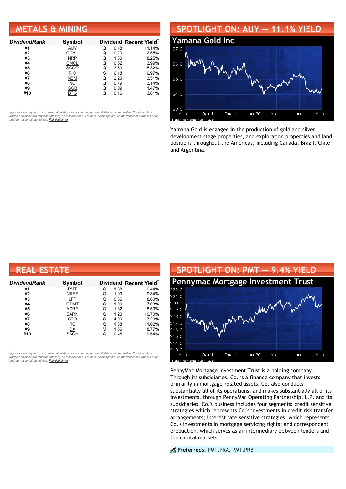#### **METALS & MINING**

| <b>DividendRank</b> | Symbol      |   |      | Dividend Recent Yield* |
|---------------------|-------------|---|------|------------------------|
| #1                  | AUY         | Q | 0.48 | 11.14%                 |
| #2                  | CGAU        | Q | 0.20 | 2.55%                  |
| #3                  | <b>NRP</b>  | Q | 1.80 | 8.25%                  |
| #4                  | <b>CMCL</b> | Q | 0.52 | 3.99%                  |
| #5                  | <b>SCCO</b> | Q | 3.60 | 5.32%                  |
| #6                  | <b>RIO</b>  | S | 6.18 | 6.97%                  |
| #7                  | <b>NEM</b>  | Q | 2.20 | 3.51%                  |
| #8                  | NС          | Q | 0.79 | 3.14%                  |
| #9                  | GGB         | Q | 0.09 | 1.47%                  |
| #10                 | BTG         |   | 0.16 | 3.81%                  |

•<br>"<sub>(updated Friday, July 30, 2:00 AM) Yield calculations vary and may not be reliable nor comparable. Not all publicly<br>traded securities are ranked; data may be incorrect or out of date. Rankings are for informational pu</sub> *and do not constitute advice. Full [disclaimer](https://www.dividendchannel.com/disclaimer/)*

#### **SPOTLIGHT ON: AUY — 11.1% YIELD**



Yamana Gold is engaged in the production of gold and silver, development stage properties, and exploration properties and land positions throughout the Americas, including Canada, Brazil, Chile and Argentina.

| <b>REAL ESTATE</b>  |             |   |      |                       |  |  |
|---------------------|-------------|---|------|-----------------------|--|--|
| <b>DividendRank</b> | Symbol      |   |      | Dividend Recent Yield |  |  |
| #1                  | <b>PMT</b>  | Q | 1.88 | 9.44%                 |  |  |
| #2                  | <b>NREF</b> | Q | 1.90 | 9.84%                 |  |  |
| #3                  | LFT         | Q | 0.36 | 8.80%                 |  |  |
| #4                  | <b>GPMT</b> | Q | 1.00 | 7.03%                 |  |  |
| #5                  | ACRE        | Q | 1.32 | 8.59%                 |  |  |
| #6                  | <b>EARN</b> | Q | 1.20 | 10.70%                |  |  |
| #7                  | <u>CTO</u>  | Q | 4.00 | 7.29%                 |  |  |
| #8                  | RC          | Q | 1.68 | 11.02%                |  |  |
| #9                  | DX          | М | 1.56 | 8.77%                 |  |  |
| #10                 | SACH        |   | 0.48 | 9.54%                 |  |  |

้<sub>(updated Friday, July 30, 2:00 AM) Yield calculations vary and may not be reliable nor comparable. Not all publicly<br>traded securities are ranked; data may be incorrect or out of date. Rankings are for informational purp</sub>



PennyMac Mortgage Investment Trust is a holding company. Through its subsidiaries, Co. is a finance company that invests primarily in mortgage-related assets. Co. also conducts substantially all of its operations, and makes substantially all of its investments, through PennyMac Operating Partnership, L.P. and its subsidiaries. Co.'s business includes four segments: credit sensitive strategies,which represents Co.'s investments in credit risk transfer arrangements; interest rate sensitive strategies, which represents Co.'s investments in mortgage servicing rights; and correspondent production, which serves as an intermediary between lenders and the capital markets.

**Preferreds:** [PMT.PRA,](https://www.preferredstockchannel.com/symbol/pmt.pra/) [PMT.PRB](https://www.preferredstockchannel.com/symbol/pmt.prb/)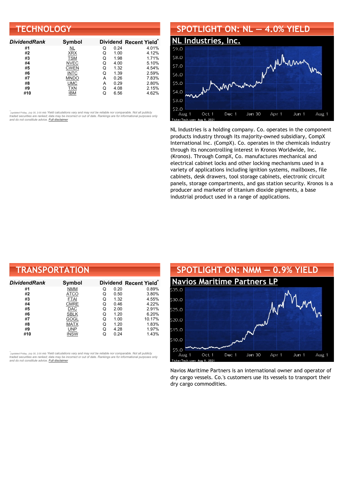| <b>TECHNOLOGY</b>   |             |   |      |                                    |  |  |
|---------------------|-------------|---|------|------------------------------------|--|--|
| <b>DividendRank</b> | Symbol      |   |      | Dividend Recent Yield <sup>®</sup> |  |  |
| #1                  | NL          | Q | 0.24 | 4.01%                              |  |  |
| #2                  | <b>XRX</b>  | Q | 1.00 | 4.12%                              |  |  |
| #3                  | <b>TSM</b>  | Q | 1.98 | 1.71%                              |  |  |
| #4                  | <b>NVEC</b> | Q | 4.00 | 5.10%                              |  |  |
| #5                  | <b>CWEN</b> | Q | 1.32 | 4.54%                              |  |  |
| #6                  | <b>INTC</b> | Q | 1.39 | 2.59%                              |  |  |
| #7                  | <b>MNDO</b> | А | 0.26 | 7.83%                              |  |  |
| #8                  | <b>UMC</b>  | А | 0.29 | 2.80%                              |  |  |
| #9                  | <b>TXN</b>  | Q | 4.08 | 2.15%                              |  |  |
| #10                 | IBM         | Q | 6.56 | 4.62%                              |  |  |

## **SPOTLIGHT ON: NL — 4.0% YIELD**



NL Industries is a holding company. Co. operates in the component products industry through its majority-owned subsidiary, CompX International Inc. (CompX). Co. operates in the chemicals industry through its noncontrolling interest in Kronos Worldwide, Inc. (Kronos). Through CompX, Co. manufactures mechanical and electrical cabinet locks and other locking mechanisms used in a variety of applications including ignition systems, mailboxes, file cabinets, desk drawers, tool storage cabinets, electronic circuit panels, storage compartments, and gas station security. Kronos is a producer and marketer of titanium dioxide pigments, a base industrial product used in a range of applications.

| <b>TRANSPORTATION</b> |               |   |      |                                    |  |  |
|-----------------------|---------------|---|------|------------------------------------|--|--|
| DividendRank          | <b>Symbol</b> |   |      | Dividend Recent Yield <sup>®</sup> |  |  |
| #1                    | <b>NMM</b>    | Q | 0.20 | 0.89%                              |  |  |
| #2                    | ATCO          | Q | 0.50 | 3.80%                              |  |  |
| #3                    | <b>FTAI</b>   | Q | 1.32 | 4.55%                              |  |  |
| #4                    | <b>CMRE</b>   | Q | 0.46 | 4.22%                              |  |  |
| #5                    | DAC           | Q | 2.00 | 2.91%                              |  |  |
| #6                    | <b>SBLK</b>   | Q | 1.20 | 6.20%                              |  |  |
| #7                    | GOGL          | Q | 1.00 | 10.17%                             |  |  |
| #8                    | <b>MATX</b>   | Q | 1.20 | 1.83%                              |  |  |
| #9                    | <b>UNP</b>    | Q | 4.28 | 1.97%                              |  |  |
| #10                   | <b>INSW</b>   | Q | 0.24 | 1.43%                              |  |  |

้<sub>(updated Friday, July 30, 2:00 AM) Yield calculations vary and may not be reliable nor comparable. Not all publicly<br>traded securities are ranked; data may be incorrect or out of date. Rankings are for informational purp</sub>



Navios Maritime Partners is an international owner and operator of dry cargo vessels. Co.'s customers use its vessels to transport their dry cargo commodities.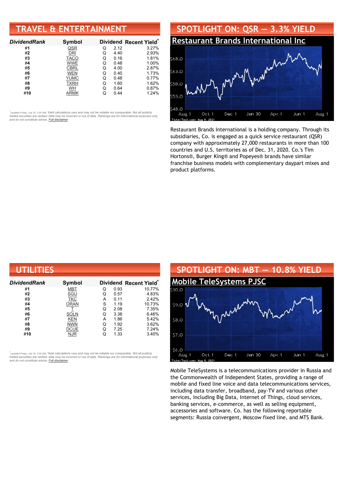### **TRAVEL & ENTERTAINMENT**

| <b>DividendRank</b> | Symbol      |   |      | Dividend Recent Yield* |
|---------------------|-------------|---|------|------------------------|
| #1                  | QSR         | Q | 2.12 | 3.27%                  |
| #2                  | DRI         | Q | 4.40 | 2.93%                  |
| #3                  | <b>TACO</b> | Q | 0.16 | 1.81%                  |
| #4                  | <b>WWE</b>  | Q | 0.48 | 1.00%                  |
| #5                  | <b>CBRL</b> | Q | 4.00 | 2.87%                  |
| #6                  | <b>WEN</b>  | Q | 0.40 | 1.73%                  |
| #7                  | <b>YUMC</b> | Q | 0.48 | 0.77%                  |
| #8                  | <b>TXRH</b> | Q | 1.60 | 1.62%                  |
| #9                  | <b>WH</b>   | Q | 0.64 | 0.87%                  |
| #10                 | ARMK        |   | 0.44 | 1.24%                  |

•<br>"<sub>(updated Friday, July 30, 2:00 AM) Yield calculations vary and may not be reliable nor comparable. Not all publicly<br>traded securities are ranked; data may be incorrect or out of date. Rankings are for informational pu</sub> *and do not constitute advice. Full [disclaimer](https://www.dividendchannel.com/disclaimer/)*



Restaurant Brands International is a holding company. Through its subsidiaries, Co. is engaged as a quick service restaurant (QSR) company with approximately 27,000 restaurants in more than 100 countries and U.S. territories as of Dec. 31, 2020. Co.'s Tim Hortons®, Burger King® and Popeyes® brands have similar franchise business models with complementary daypart mixes and product platforms.

| UTILITIES           |             |   |      |                                    |
|---------------------|-------------|---|------|------------------------------------|
| <b>DividendRank</b> | Symbol      |   |      | Dividend Recent Yield <sup>®</sup> |
| #1                  | <b>MBT</b>  | Q | 0.93 | 10.77%                             |
| #2                  | <u>SGU</u>  | Q | 0.57 | 4.83%                              |
| #3                  | <b>TKC</b>  | A | 0.11 | 2.42%                              |
| #4                  | <b>ORAN</b> | S | 1.19 | 10.73%                             |
| #5                  |             | Q | 2.08 | 7.35%                              |
| #6                  | <b>SOLN</b> | Q | 3.38 | 6.46%                              |
| #7                  | <b>KEN</b>  | A | 1.86 | 5.42%                              |
| #8                  | <b>NWN</b>  | Q | 1.92 | 3.62%                              |
| #9                  | <b>DCUE</b> | Q | 7.25 | 7.24%                              |
| #10                 | <b>NJR</b>  | Q | 1.33 | 3.40%                              |

้<sub>(updated Friday, July 30, 2:00 AM) Yield calculations vary and may not be reliable nor comparable. Not all publicly<br>traded securities are ranked; data may be incorrect or out of date. Rankings are for informational purp</sub>



Mobile TeleSystems is a telecommunications provider in Russia and the Commonwealth of Independent States, providing a range of mobile and fixed line voice and data telecommunications services, including data transfer, broadband, pay-TV and various other services, including Big Data, Internet of Things, cloud services, banking services, e-commerce, as well as selling equipment, accessories and software. Co. has the following reportable segments: Russia convergent, Moscow fixed line, and MTS Bank.